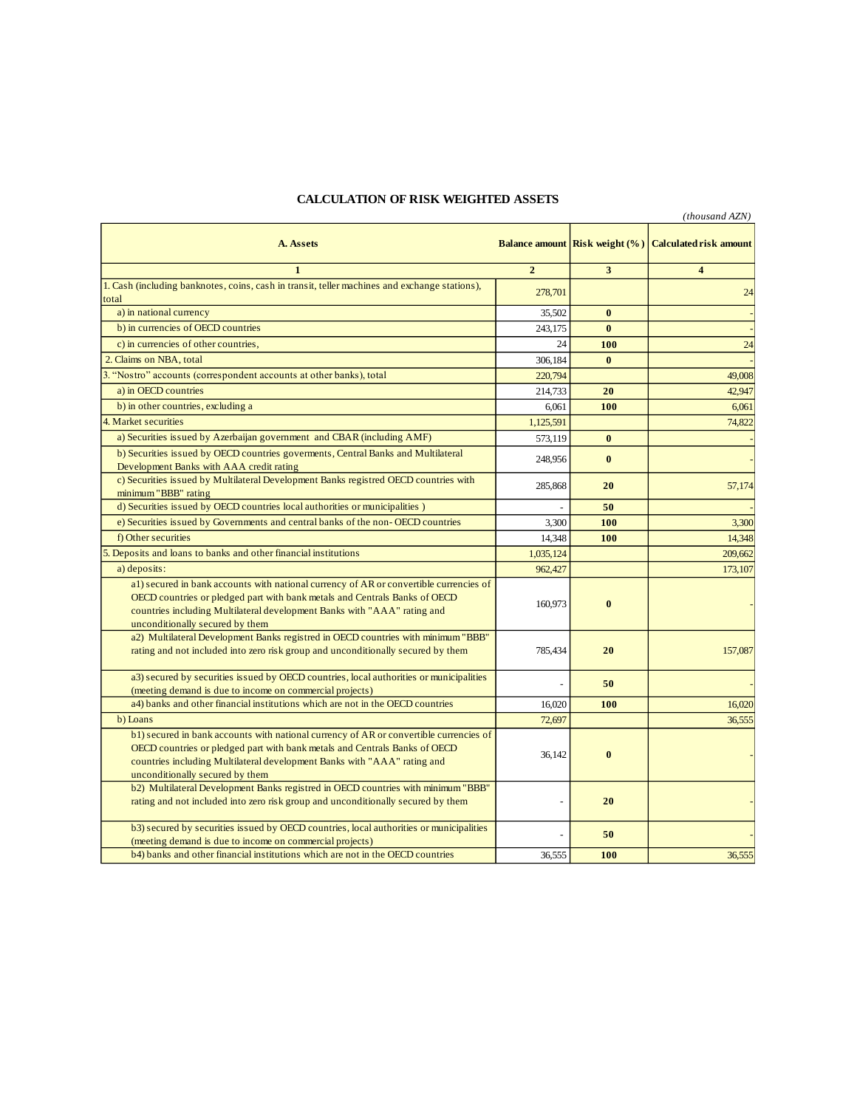## **CALCULATION OF RISK WEIGHTED ASSETS**

|                                                                                                                                                                      |                |                                       | (thousand AZN)                |
|----------------------------------------------------------------------------------------------------------------------------------------------------------------------|----------------|---------------------------------------|-------------------------------|
| A. Assets                                                                                                                                                            |                | <b>Balance amount Risk weight (%)</b> | <b>Calculated risk amount</b> |
| $\mathbf{1}$                                                                                                                                                         | $\overline{2}$ | 3                                     | $\overline{\mathbf{4}}$       |
| 1. Cash (including banknotes, coins, cash in transit, teller machines and exchange stations),                                                                        |                |                                       |                               |
| total                                                                                                                                                                | 278,701        |                                       | 24                            |
| a) in national currency                                                                                                                                              | 35,502         | $\mathbf{0}$                          |                               |
| b) in currencies of OECD countries                                                                                                                                   | 243.175        | $\mathbf{0}$                          |                               |
| c) in currencies of other countries,                                                                                                                                 | 24             | 100                                   | 24                            |
| 2. Claims on NBA, total                                                                                                                                              | 306,184        | $\bf{0}$                              |                               |
| 3. "Nostro" accounts (correspondent accounts at other banks), total                                                                                                  | 220,794        |                                       | 49,008                        |
| a) in OECD countries                                                                                                                                                 | 214,733        | 20                                    | 42,947                        |
| b) in other countries, excluding a                                                                                                                                   | 6,061          | 100                                   | 6,061                         |
| 4. Market securities                                                                                                                                                 | 1,125,591      |                                       | 74,822                        |
| a) Securities issued by Azerbaijan government and CBAR (including AMF)                                                                                               |                | $\bf{0}$                              |                               |
| b) Securities issued by OECD countries governments, Central Banks and Multilateral                                                                                   | 573,119        |                                       |                               |
| Development Banks with AAA credit rating                                                                                                                             | 248,956        | $\bf{0}$                              |                               |
| c) Securities issued by Multilateral Development Banks registred OECD countries with                                                                                 |                |                                       |                               |
| minimum "BBB" rating                                                                                                                                                 | 285,868        | 20                                    | 57,174                        |
| d) Securities issued by OECD countries local authorities or municipalities )                                                                                         | $\overline{a}$ | 50                                    |                               |
| e) Securities issued by Governments and central banks of the non-OECD countries                                                                                      | 3,300          | 100                                   | 3,300                         |
| f) Other securities                                                                                                                                                  | 14,348         | 100                                   | 14,348                        |
| 5. Deposits and loans to banks and other financial institutions                                                                                                      | 1,035,124      |                                       | 209,662                       |
| a) deposits:                                                                                                                                                         | 962,427        |                                       | 173,107                       |
| al) secured in bank accounts with national currency of AR or convertible currencies of                                                                               |                |                                       |                               |
| OECD countries or pledged part with bank metals and Centrals Banks of OECD                                                                                           |                |                                       |                               |
| countries including Multilateral development Banks with "AAA" rating and                                                                                             | 160,973        | $\bf{0}$                              |                               |
| unconditionally secured by them                                                                                                                                      |                |                                       |                               |
| a2) Multilateral Development Banks registred in OECD countries with minimum "BBB"                                                                                    |                |                                       |                               |
| rating and not included into zero risk group and unconditionally secured by them                                                                                     | 785,434        | 20                                    | 157,087                       |
|                                                                                                                                                                      |                |                                       |                               |
| a3) secured by securities issued by OECD countries, local authorities or municipalities                                                                              |                | 50                                    |                               |
| (meeting demand is due to income on commercial projects)<br>a4) banks and other financial institutions which are not in the OECD countries                           | 16.020         | 100                                   | 16,020                        |
| b) Loans                                                                                                                                                             | 72.697         |                                       | 36.555                        |
|                                                                                                                                                                      |                |                                       |                               |
| b1) secured in bank accounts with national currency of AR or convertible currencies of<br>OECD countries or pledged part with bank metals and Centrals Banks of OECD |                |                                       |                               |
| countries including Multilateral development Banks with "AAA" rating and                                                                                             | 36,142         | $\mathbf{0}$                          |                               |
| unconditionally secured by them                                                                                                                                      |                |                                       |                               |
| b2) Multilateral Development Banks registred in OECD countries with minimum "BBB"                                                                                    |                |                                       |                               |
| rating and not included into zero risk group and unconditionally secured by them                                                                                     |                | 20                                    |                               |
|                                                                                                                                                                      |                |                                       |                               |
| b3) secured by securities issued by OECD countries, local authorities or municipalities                                                                              |                | 50                                    |                               |
| (meeting demand is due to income on commercial projects)                                                                                                             |                |                                       |                               |
| b4) banks and other financial institutions which are not in the OECD countries                                                                                       | 36,555         | 100                                   | 36,555                        |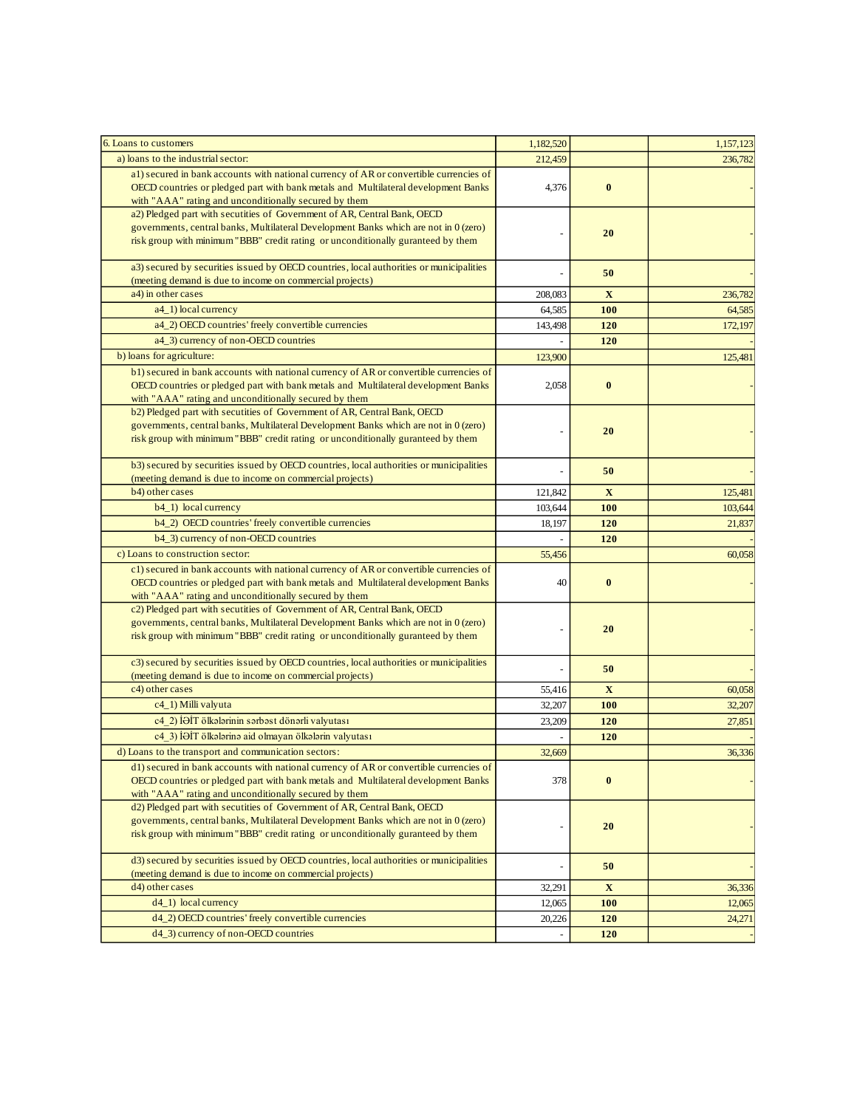| 6. Loans to customers                                                                                                                                                                                                                                | 1,182,520 |             | 1,157,123 |
|------------------------------------------------------------------------------------------------------------------------------------------------------------------------------------------------------------------------------------------------------|-----------|-------------|-----------|
| a) loans to the industrial sector:                                                                                                                                                                                                                   | 212,459   |             | 236,782   |
| a1) secured in bank accounts with national currency of AR or convertible currencies of<br>OECD countries or pledged part with bank metals and Multilateral development Banks<br>with "AAA" rating and unconditionally secured by them                | 4,376     | $\bf{0}$    |           |
| a2) Pledged part with secutities of Government of AR, Central Bank, OECD<br>governments, central banks, Multilateral Development Banks which are not in 0 (zero)<br>risk group with minimum "BBB" credit rating or unconditionally guranteed by them |           | 20          |           |
| a3) secured by securities issued by OECD countries, local authorities or municipalities<br>(meeting demand is due to income on commercial projects)                                                                                                  |           | 50          |           |
| a4) in other cases                                                                                                                                                                                                                                   | 208,083   | $\mathbf X$ | 236,782   |
| a4_1) local currency                                                                                                                                                                                                                                 | 64,585    | 100         | 64,585    |
| a4_2) OECD countries' freely convertible currencies                                                                                                                                                                                                  | 143,498   | 120         | 172,197   |
| a4_3) currency of non-OECD countries                                                                                                                                                                                                                 |           | 120         |           |
| b) loans for agriculture:                                                                                                                                                                                                                            | 123,900   |             | 125,481   |
| b1) secured in bank accounts with national currency of AR or convertible currencies of<br>OECD countries or pledged part with bank metals and Multilateral development Banks<br>with "AAA" rating and unconditionally secured by them                | 2,058     | $\bf{0}$    |           |
| b2) Pledged part with secutities of Government of AR, Central Bank, OECD<br>governments, central banks, Multilateral Development Banks which are not in 0 (zero)<br>risk group with minimum "BBB" credit rating or unconditionally guranteed by them |           | 20          |           |
| b3) secured by securities issued by OECD countries, local authorities or municipalities<br>(meeting demand is due to income on commercial projects)                                                                                                  |           | 50          |           |
| b4) other cases                                                                                                                                                                                                                                      | 121,842   | $\mathbf X$ | 125,481   |
| b4_1) local currency                                                                                                                                                                                                                                 | 103,644   | 100         | 103,644   |
| b4_2) OECD countries' freely convertible currencies                                                                                                                                                                                                  | 18,197    | 120         | 21,837    |
| b4_3) currency of non-OECD countries                                                                                                                                                                                                                 |           | 120         |           |
| c) Loans to construction sector:                                                                                                                                                                                                                     | 55,456    |             | 60,058    |
| c1) secured in bank accounts with national currency of AR or convertible currencies of                                                                                                                                                               |           |             |           |
| OECD countries or pledged part with bank metals and Multilateral development Banks<br>with "AAA" rating and unconditionally secured by them                                                                                                          | 40        | $\bf{0}$    |           |
| c2) Pledged part with secutities of Government of AR, Central Bank, OECD<br>governments, central banks, Multilateral Development Banks which are not in 0 (zero)<br>risk group with minimum "BBB" credit rating or unconditionally guranteed by them |           | 20          |           |
| c3) secured by securities issued by OECD countries, local authorities or municipalities<br>(meeting demand is due to income on commercial projects)                                                                                                  |           | 50          |           |
| c4) other cases                                                                                                                                                                                                                                      | 55,416    | X           | 60,058    |
| c4_1) Milli valyuta                                                                                                                                                                                                                                  | 32,207    | 100         | 32,207    |
| c4 2) İƏİT ölkələrinin sərbəst dönərli valyutası                                                                                                                                                                                                     | 23,209    | 120         | 27,851    |
| c4 3) İƏİT ölkələrinə aid olmayan ölkələrin valyutası                                                                                                                                                                                                |           | 120         |           |
| d) Loans to the transport and communication sectors:                                                                                                                                                                                                 | 32,669    |             | 36,336    |
| d1) secured in bank accounts with national currency of AR or convertible currencies of<br>OECD countries or pledged part with bank metals and Multilateral development Banks<br>with "AAA" rating and unconditionally secured by them                | 378       | $\bf{0}$    |           |
| d2) Pledged part with secutities of Government of AR, Central Bank, OECD<br>governments, central banks, Multilateral Development Banks which are not in 0 (zero)<br>risk group with minimum "BBB" credit rating or unconditionally guranteed by them |           | 20          |           |
| d3) secured by securities issued by OECD countries, local authorities or municipalities                                                                                                                                                              |           | 50          |           |
| (meeting demand is due to income on commercial projects)                                                                                                                                                                                             |           |             |           |
| d4) other cases                                                                                                                                                                                                                                      | 32,291    | $\mathbf X$ | 36,336    |
| $d4_1)$ local currency                                                                                                                                                                                                                               | 12,065    | 100         | 12,065    |
| d4_2) OECD countries' freely convertible currencies                                                                                                                                                                                                  | 20,226    | 120         | 24,271    |
| d4_3) currency of non-OECD countries                                                                                                                                                                                                                 |           | 120         |           |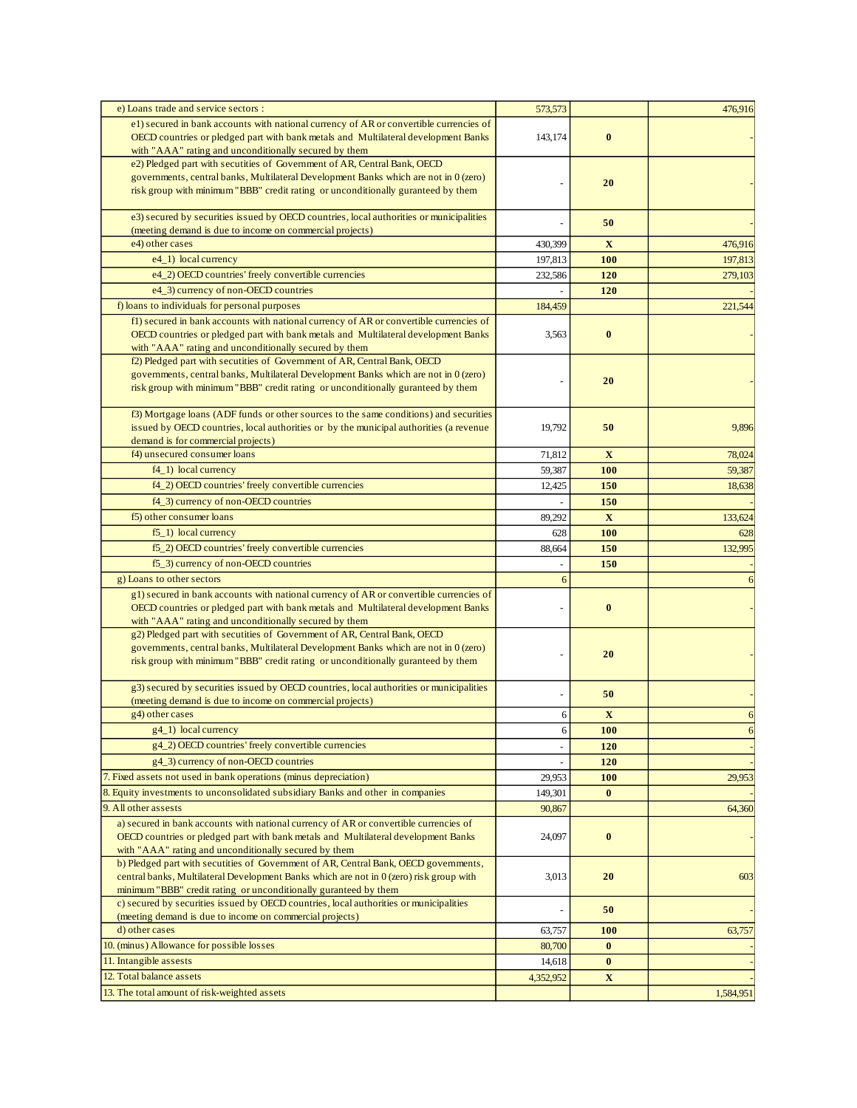| e) Loans trade and service sectors :                                                                                                                                                                                                                 | 573,573   |              | 476,916   |
|------------------------------------------------------------------------------------------------------------------------------------------------------------------------------------------------------------------------------------------------------|-----------|--------------|-----------|
| e1) secured in bank accounts with national currency of AR or convertible currencies of<br>OECD countries or pledged part with bank metals and Multilateral development Banks                                                                         | 143,174   | $\bf{0}$     |           |
| with "AAA" rating and unconditionally secured by them                                                                                                                                                                                                |           |              |           |
| e2) Pledged part with secutities of Government of AR, Central Bank, OECD<br>governments, central banks, Multilateral Development Banks which are not in 0 (zero)                                                                                     |           |              |           |
| risk group with minimum "BBB" credit rating or unconditionally guranteed by them                                                                                                                                                                     |           | 20           |           |
| e3) secured by securities issued by OECD countries, local authorities or municipalities<br>(meeting demand is due to income on commercial projects)                                                                                                  |           | 50           |           |
| e4) other cases                                                                                                                                                                                                                                      | 430,399   | $\mathbf X$  | 476,916   |
| e4_1) local currency                                                                                                                                                                                                                                 | 197,813   | 100          | 197,813   |
| e4_2) OECD countries' freely convertible currencies                                                                                                                                                                                                  | 232,586   | 120          | 279,103   |
| e4_3) currency of non-OECD countries                                                                                                                                                                                                                 |           | 120          |           |
| f) loans to individuals for personal purposes                                                                                                                                                                                                        | 184,459   |              | 221,544   |
| f1) secured in bank accounts with national currency of AR or convertible currencies of<br>OECD countries or pledged part with bank metals and Multilateral development Banks<br>with "AAA" rating and unconditionally secured by them                | 3,563     | $\bf{0}$     |           |
| f2) Pledged part with secutities of Government of AR, Central Bank, OECD<br>governments, central banks, Multilateral Development Banks which are not in 0 (zero)<br>risk group with minimum "BBB" credit rating or unconditionally guranteed by them |           | 20           |           |
| f3) Mortgage loans (ADF funds or other sources to the same conditions) and securities<br>issued by OECD countries, local authorities or by the municipal authorities (a revenue<br>demand is for commercial projects)                                | 19,792    | 50           | 9,896     |
| f4) unsecured consumer loans                                                                                                                                                                                                                         | 71,812    | $\mathbf{X}$ | 78,024    |
| $f4_1)$ local currency                                                                                                                                                                                                                               | 59,387    | 100          | 59,387    |
| f4_2) OECD countries' freely convertible currencies                                                                                                                                                                                                  | 12,425    | 150          | 18,638    |
| f4_3) currency of non-OECD countries                                                                                                                                                                                                                 |           | 150          |           |
| f5) other consumer loans                                                                                                                                                                                                                             | 89,292    | $\mathbf X$  | 133,624   |
| $f5_1$ ) local currency                                                                                                                                                                                                                              | 628       | <b>100</b>   | 628       |
| f5_2) OECD countries' freely convertible currencies                                                                                                                                                                                                  | 88,664    | 150          | 132,995   |
| f5_3) currency of non-OECD countries                                                                                                                                                                                                                 |           | 150          |           |
| g) Loans to other sectors<br>g1) secured in bank accounts with national currency of AR or convertible currencies of                                                                                                                                  | 6         |              | 6         |
| OECD countries or pledged part with bank metals and Multilateral development Banks<br>with "AAA" rating and unconditionally secured by them                                                                                                          |           | $\bf{0}$     |           |
| g2) Pledged part with secutities of Government of AR, Central Bank, OECD<br>governments, central banks, Multilateral Development Banks which are not in 0 (zero)<br>risk group with minimum "BBB" credit rating or unconditionally guranteed by them |           | 20           |           |
| g3) secured by securities issued by OECD countries, local authorities or municipalities<br>(meeting demand is due to income on commercial projects)                                                                                                  |           | 50           |           |
| g4) other cases                                                                                                                                                                                                                                      | 6         | $\mathbf X$  | 6         |
| g4_1) local currency                                                                                                                                                                                                                                 | 6         | <b>100</b>   | 6         |
| g4_2) OECD countries' freely convertible currencies                                                                                                                                                                                                  |           | 120          |           |
| g4_3) currency of non-OECD countries                                                                                                                                                                                                                 |           | 120          |           |
| 7. Fixed assets not used in bank operations (minus depreciation)                                                                                                                                                                                     | 29,953    | <b>100</b>   | 29,953    |
| 8. Equity investments to unconsolidated subsidiary Banks and other in companies                                                                                                                                                                      | 149,301   | $\bf{0}$     |           |
| 9. All other assests                                                                                                                                                                                                                                 | 90,867    |              | 64,360    |
| a) secured in bank accounts with national currency of AR or convertible currencies of<br>OECD countries or pledged part with bank metals and Multilateral development Banks<br>with "AAA" rating and unconditionally secured by them                 | 24,097    | $\bf{0}$     |           |
| b) Pledged part with secutities of Government of AR, Central Bank, OECD governments,<br>central banks, Multilateral Development Banks which are not in 0 (zero) risk group with<br>minimum "BBB" credit rating or unconditionally guranteed by them  | 3,013     | 20           | 603       |
| c) secured by securities issued by OECD countries, local authorities or municipalities<br>(meeting demand is due to income on commercial projects)                                                                                                   |           | 50           |           |
| d) other cases                                                                                                                                                                                                                                       | 63,757    | 100          | 63,757    |
| 10. (minus) Allowance for possible losses                                                                                                                                                                                                            | 80,700    | $\bf{0}$     |           |
| 11. Intangible assests                                                                                                                                                                                                                               | 14,618    | $\bf{0}$     |           |
| 12. Total balance assets                                                                                                                                                                                                                             | 4,352,952 | $\mathbf{X}$ |           |
| 13. The total amount of risk-weighted assets                                                                                                                                                                                                         |           |              | 1,584,951 |